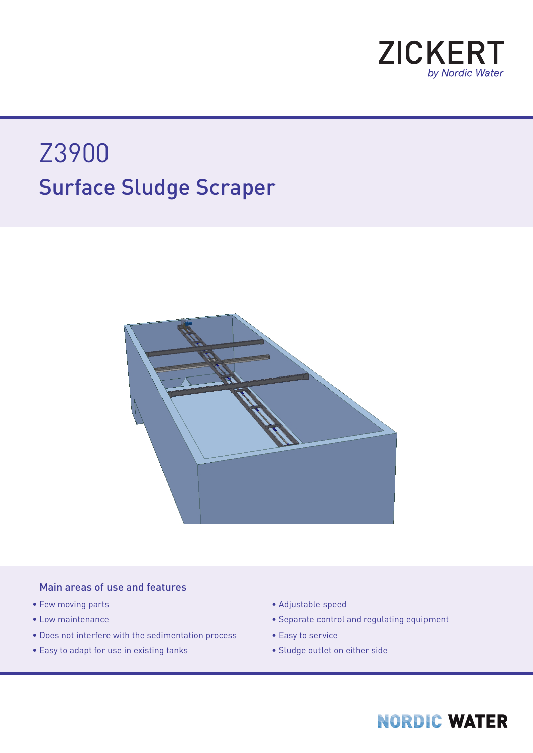

# Surface Sludge Scraper Z3900



#### Main areas of use and features

- Few moving parts
- Low maintenance
- Does not interfere with the sedimentation process
- Easy to adapt for use in existing tanks
- Adjustable speed
- Separate control and regulating equipment
- Easy to service
- Sludge outlet on either side

## **NORDIC WATER**